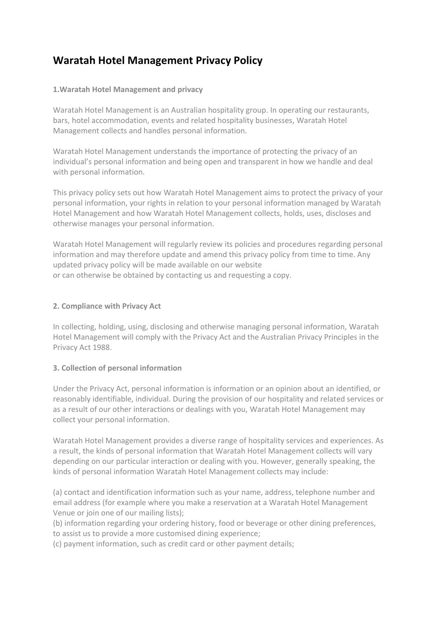# **Waratah Hotel Management Privacy Policy**

### **1.Waratah Hotel Management and privacy**

Waratah Hotel Management is an Australian hospitality group. In operating our restaurants, bars, hotel accommodation, events and related hospitality businesses, Waratah Hotel Management collects and handles personal information.

Waratah Hotel Management understands the importance of protecting the privacy of an individual's personal information and being open and transparent in how we handle and deal with personal information.

This privacy policy sets out how Waratah Hotel Management aims to protect the privacy of your personal information, your rights in relation to your personal information managed by Waratah Hotel Management and how Waratah Hotel Management collects, holds, uses, discloses and otherwise manages your personal information.

Waratah Hotel Management will regularly review its policies and procedures regarding personal information and may therefore update and amend this privacy policy from time to time. Any updated privacy policy will be made available on our website or can otherwise be obtained by contacting us and requesting a copy.

#### **2. Compliance with Privacy Act**

In collecting, holding, using, disclosing and otherwise managing personal information, Waratah Hotel Management will comply with the Privacy Act and the Australian Privacy Principles in the Privacy Act 1988.

#### **3. Collection of personal information**

Under the Privacy Act, personal information is information or an opinion about an identified, or reasonably identifiable, individual. During the provision of our hospitality and related services or as a result of our other interactions or dealings with you, Waratah Hotel Management may collect your personal information.

Waratah Hotel Management provides a diverse range of hospitality services and experiences. As a result, the kinds of personal information that Waratah Hotel Management collects will vary depending on our particular interaction or dealing with you. However, generally speaking, the kinds of personal information Waratah Hotel Management collects may include:

(a) contact and identification information such as your name, address, telephone number and email address (for example where you make a reservation at a Waratah Hotel Management Venue or join one of our mailing lists);

(b) information regarding your ordering history, food or beverage or other dining preferences, to assist us to provide a more customised dining experience;

(c) payment information, such as credit card or other payment details;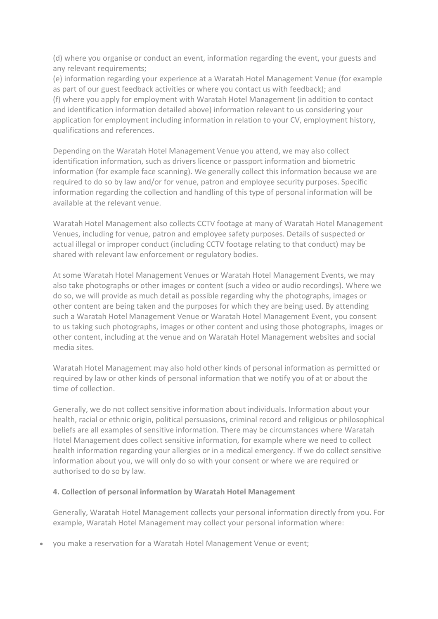(d) where you organise or conduct an event, information regarding the event, your guests and any relevant requirements;

(e) information regarding your experience at a Waratah Hotel Management Venue (for example as part of our guest feedback activities or where you contact us with feedback); and (f) where you apply for employment with Waratah Hotel Management (in addition to contact and identification information detailed above) information relevant to us considering your application for employment including information in relation to your CV, employment history, qualifications and references.

Depending on the Waratah Hotel Management Venue you attend, we may also collect identification information, such as drivers licence or passport information and biometric information (for example face scanning). We generally collect this information because we are required to do so by law and/or for venue, patron and employee security purposes. Specific information regarding the collection and handling of this type of personal information will be available at the relevant venue.

Waratah Hotel Management also collects CCTV footage at many of Waratah Hotel Management Venues, including for venue, patron and employee safety purposes. Details of suspected or actual illegal or improper conduct (including CCTV footage relating to that conduct) may be shared with relevant law enforcement or regulatory bodies.

At some Waratah Hotel Management Venues or Waratah Hotel Management Events, we may also take photographs or other images or content (such a video or audio recordings). Where we do so, we will provide as much detail as possible regarding why the photographs, images or other content are being taken and the purposes for which they are being used. By attending such a Waratah Hotel Management Venue or Waratah Hotel Management Event, you consent to us taking such photographs, images or other content and using those photographs, images or other content, including at the venue and on Waratah Hotel Management websites and social media sites.

Waratah Hotel Management may also hold other kinds of personal information as permitted or required by law or other kinds of personal information that we notify you of at or about the time of collection.

Generally, we do not collect sensitive information about individuals. Information about your health, racial or ethnic origin, political persuasions, criminal record and religious or philosophical beliefs are all examples of sensitive information. There may be circumstances where Waratah Hotel Management does collect sensitive information, for example where we need to collect health information regarding your allergies or in a medical emergency. If we do collect sensitive information about you, we will only do so with your consent or where we are required or authorised to do so by law.

#### **4. Collection of personal information by Waratah Hotel Management**

Generally, Waratah Hotel Management collects your personal information directly from you. For example, Waratah Hotel Management may collect your personal information where:

• you make a reservation for a Waratah Hotel Management Venue or event;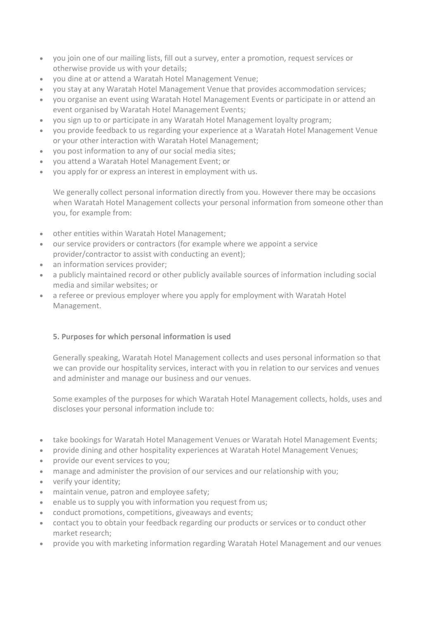- you join one of our mailing lists, fill out a survey, enter a promotion, request services or otherwise provide us with your details;
- you dine at or attend a Waratah Hotel Management Venue;
- you stay at any Waratah Hotel Management Venue that provides accommodation services;
- you organise an event using Waratah Hotel Management Events or participate in or attend an event organised by Waratah Hotel Management Events;
- you sign up to or participate in any Waratah Hotel Management loyalty program;
- you provide feedback to us regarding your experience at a Waratah Hotel Management Venue or your other interaction with Waratah Hotel Management;
- you post information to any of our social media sites;
- you attend a Waratah Hotel Management Event; or
- you apply for or express an interest in employment with us.

We generally collect personal information directly from you. However there may be occasions when Waratah Hotel Management collects your personal information from someone other than you, for example from:

- other entities within Waratah Hotel Management;
- our service providers or contractors (for example where we appoint a service provider/contractor to assist with conducting an event);
- an information services provider;
- a publicly maintained record or other publicly available sources of information including social media and similar websites; or
- a referee or previous employer where you apply for employment with Waratah Hotel Management.

#### **5. Purposes for which personal information is used**

Generally speaking, Waratah Hotel Management collects and uses personal information so that we can provide our hospitality services, interact with you in relation to our services and venues and administer and manage our business and our venues.

Some examples of the purposes for which Waratah Hotel Management collects, holds, uses and discloses your personal information include to:

- take bookings for Waratah Hotel Management Venues or Waratah Hotel Management Events;
- provide dining and other hospitality experiences at Waratah Hotel Management Venues;
- provide our event services to you;
- manage and administer the provision of our services and our relationship with you;
- verify your identity;
- maintain venue, patron and employee safety;
- enable us to supply you with information you request from us;
- conduct promotions, competitions, giveaways and events;
- contact you to obtain your feedback regarding our products or services or to conduct other market research;
- provide you with marketing information regarding Waratah Hotel Management and our venues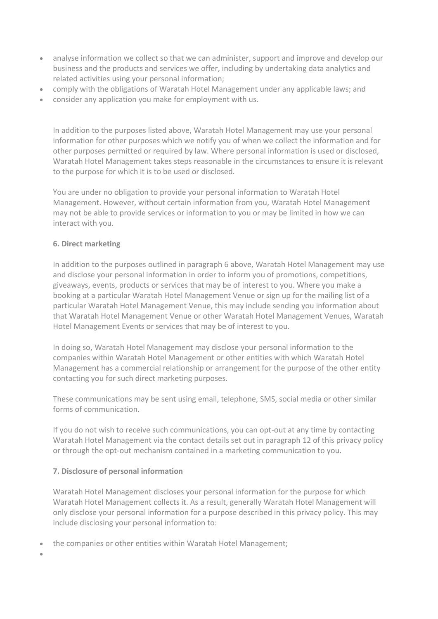- analyse information we collect so that we can administer, support and improve and develop our business and the products and services we offer, including by undertaking data analytics and related activities using your personal information;
- comply with the obligations of Waratah Hotel Management under any applicable laws; and
- consider any application you make for employment with us.

In addition to the purposes listed above, Waratah Hotel Management may use your personal information for other purposes which we notify you of when we collect the information and for other purposes permitted or required by law. Where personal information is used or disclosed, Waratah Hotel Management takes steps reasonable in the circumstances to ensure it is relevant to the purpose for which it is to be used or disclosed.

You are under no obligation to provide your personal information to Waratah Hotel Management. However, without certain information from you, Waratah Hotel Management may not be able to provide services or information to you or may be limited in how we can interact with you.

## **6. Direct marketing**

In addition to the purposes outlined in paragraph 6 above, Waratah Hotel Management may use and disclose your personal information in order to inform you of promotions, competitions, giveaways, events, products or services that may be of interest to you. Where you make a booking at a particular Waratah Hotel Management Venue or sign up for the mailing list of a particular Waratah Hotel Management Venue, this may include sending you information about that Waratah Hotel Management Venue or other Waratah Hotel Management Venues, Waratah Hotel Management Events or services that may be of interest to you.

In doing so, Waratah Hotel Management may disclose your personal information to the companies within Waratah Hotel Management or other entities with which Waratah Hotel Management has a commercial relationship or arrangement for the purpose of the other entity contacting you for such direct marketing purposes.

These communications may be sent using email, telephone, SMS, social media or other similar forms of communication.

If you do not wish to receive such communications, you can opt-out at any time by contacting Waratah Hotel Management via the contact details set out in paragraph 12 of this privacy policy or through the opt-out mechanism contained in a marketing communication to you.

# **7. Disclosure of personal information**

Waratah Hotel Management discloses your personal information for the purpose for which Waratah Hotel Management collects it. As a result, generally Waratah Hotel Management will only disclose your personal information for a purpose described in this privacy policy. This may include disclosing your personal information to:

- the companies or other entities within Waratah Hotel Management;
- •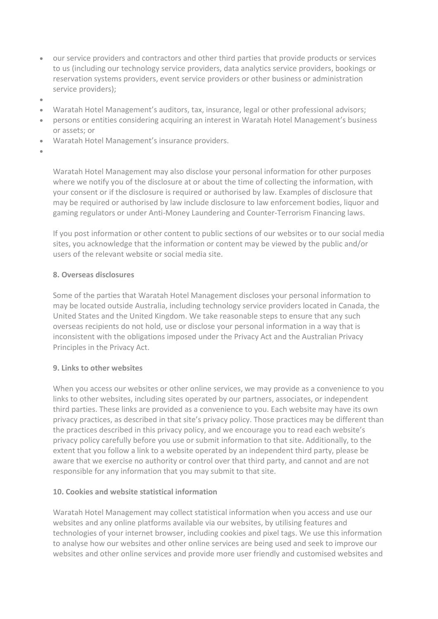- our service providers and contractors and other third parties that provide products or services to us (including our technology service providers, data analytics service providers, bookings or reservation systems providers, event service providers or other business or administration service providers);
- •
- Waratah Hotel Management's auditors, tax, insurance, legal or other professional advisors;
- persons or entities considering acquiring an interest in Waratah Hotel Management's business or assets; or
- Waratah Hotel Management's insurance providers.
- •

Waratah Hotel Management may also disclose your personal information for other purposes where we notify you of the disclosure at or about the time of collecting the information, with your consent or if the disclosure is required or authorised by law. Examples of disclosure that may be required or authorised by law include disclosure to law enforcement bodies, liquor and gaming regulators or under Anti-Money Laundering and Counter-Terrorism Financing laws.

If you post information or other content to public sections of our websites or to our social media sites, you acknowledge that the information or content may be viewed by the public and/or users of the relevant website or social media site.

#### **8. Overseas disclosures**

Some of the parties that Waratah Hotel Management discloses your personal information to may be located outside Australia, including technology service providers located in Canada, the United States and the United Kingdom. We take reasonable steps to ensure that any such overseas recipients do not hold, use or disclose your personal information in a way that is inconsistent with the obligations imposed under the Privacy Act and the Australian Privacy Principles in the Privacy Act.

#### **9. Links to other websites**

When you access our websites or other online services, we may provide as a convenience to you links to other websites, including sites operated by our partners, associates, or independent third parties. These links are provided as a convenience to you. Each website may have its own privacy practices, as described in that site's privacy policy. Those practices may be different than the practices described in this privacy policy, and we encourage you to read each website's privacy policy carefully before you use or submit information to that site. Additionally, to the extent that you follow a link to a website operated by an independent third party, please be aware that we exercise no authority or control over that third party, and cannot and are not responsible for any information that you may submit to that site.

#### **10. Cookies and website statistical information**

Waratah Hotel Management may collect statistical information when you access and use our websites and any online platforms available via our websites, by utilising features and technologies of your internet browser, including cookies and pixel tags. We use this information to analyse how our websites and other online services are being used and seek to improve our websites and other online services and provide more user friendly and customised websites and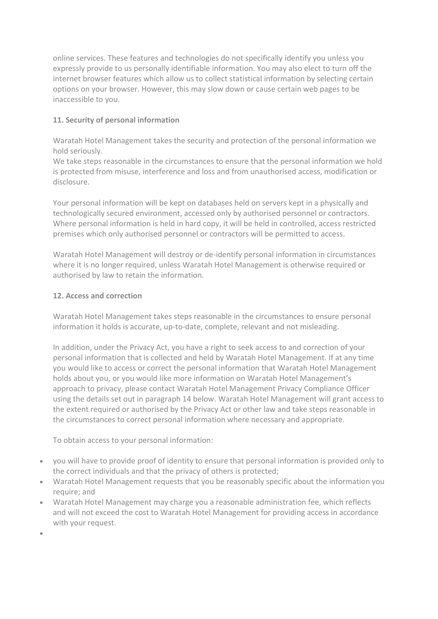online services. These features and technologies do not specifically identify you unless you expressly provide to us personally identifiable information. You may also elect to turn off the internet browser features which allow us to collect statistical information by selecting certain options on your browser. However, this may slow down or cause certain web pages to be inaccessible to you.

# **11. Security of personal information**

Waratah Hotel Management takes the security and protection of the personal information we hold seriously.

We take steps reasonable in the circumstances to ensure that the personal information we hold is protected from misuse, interference and loss and from unauthorised access, modification or disclosure.

Your personal information will be kept on databases held on servers kept in a physically and technologically secured environment, accessed only by authorised personnel or contractors. Where personal information is held in hard copy, it will be held in controlled, access restricted premises which only authorised personnel or contractors will be permitted to access.

Waratah Hotel Management will destroy or de-identify personal information in circumstances where it is no longer required, unless Waratah Hotel Management is otherwise required or authorised by law to retain the information.

# **12. Access and correction**

Waratah Hotel Management takes steps reasonable in the circumstances to ensure personal information it holds is accurate, up-to-date, complete, relevant and not misleading.

In addition, under the Privacy Act, you have a right to seek access to and correction of your personal information that is collected and held by Waratah Hotel Management. If at any time you would like to access or correct the personal information that Waratah Hotel Management holds about you, or you would like more information on Waratah Hotel Management's approach to privacy, please contact Waratah Hotel Management Privacy Compliance Officer using the details set out in paragraph 14 below. Waratah Hotel Management will grant access to the extent required or authorised by the Privacy Act or other law and take steps reasonable in the circumstances to correct personal information where necessary and appropriate.

To obtain access to your personal information:

- you will have to provide proof of identity to ensure that personal information is provided only to the correct individuals and that the privacy of others is protected;
- Waratah Hotel Management requests that you be reasonably specific about the information you require; and
- Waratah Hotel Management may charge you a reasonable administration fee, which reflects and will not exceed the cost to Waratah Hotel Management for providing access in accordance with your request.
- •